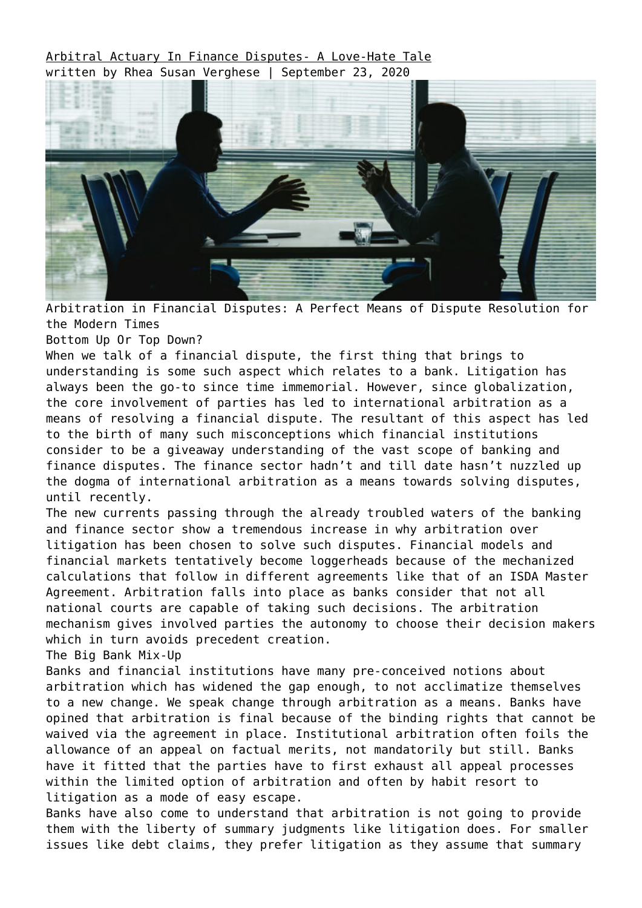[Arbitral Actuary In Finance Disputes- A Love-Hate Tale](https://ksandk.com/arbitration/arbitration-in-financial-disputes/) written by Rhea Susan Verghese | September 23, 2020



Arbitration in Financial Disputes: A Perfect Means of Dispute Resolution for the Modern Times

Bottom Up Or Top Down?

When we talk of a financial dispute, the first thing that brings to understanding is some such aspect which relates to a bank. Litigation has always been the go-to since time immemorial. However, since globalization, the core involvement of parties has led to international arbitration as a means of resolving a financial dispute. The resultant of this aspect has led to the birth of many such misconceptions which financial institutions consider to be a giveaway understanding of the vast scope of banking and finance disputes. The finance sector hadn't and till date hasn't nuzzled up the dogma of international arbitration as a means towards solving disputes, until recently.

The new currents passing through the already troubled waters of the banking and finance sector show a tremendous increase in why arbitration over litigation has been chosen to solve such disputes. Financial models and financial markets tentatively become loggerheads because of the mechanized calculations that follow in different agreements like that of an ISDA Master Agreement. Arbitration falls into place as banks consider that not all national courts are capable of taking such decisions. The arbitration mechanism gives involved parties the autonomy to choose their decision makers which in turn avoids precedent creation.

The Big Bank Mix-Up

Banks and financial institutions have many pre-conceived notions about arbitration which has widened the gap enough, to not acclimatize themselves to a new change. We speak change through arbitration as a means. Banks have opined that arbitration is final because of the binding rights that cannot be waived via the agreement in place. Institutional arbitration often foils the allowance of an appeal on factual merits, not mandatorily but still. Banks have it fitted that the parties have to first exhaust all appeal processes within the limited option of arbitration and often by habit resort to litigation as a mode of easy escape.

Banks have also come to understand that arbitration is not going to provide them with the liberty of summary judgments like litigation does. For smaller issues like debt claims, they prefer litigation as they assume that summary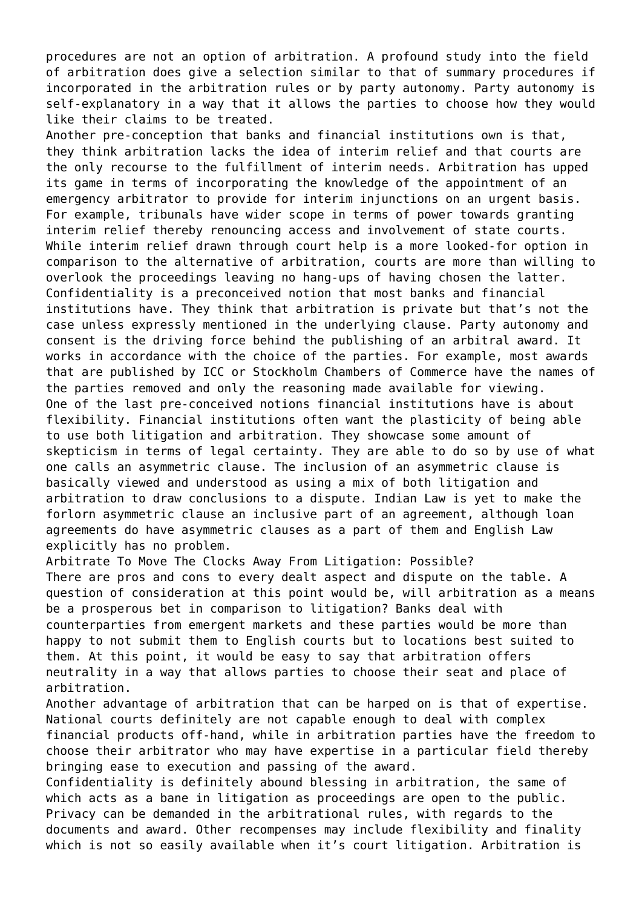procedures are not an option of arbitration. A profound study into the field of arbitration does give a selection similar to that of summary procedures if incorporated in the arbitration rules or by party autonomy. Party autonomy is self-explanatory in a way that it allows the parties to choose how they would like their claims to be treated.

Another pre-conception that banks and financial institutions own is that, they think arbitration lacks the idea of interim relief and that courts are the only recourse to the fulfillment of interim needs. Arbitration has upped its game in terms of incorporating the knowledge of the appointment of an emergency arbitrator to provide for interim injunctions on an urgent basis. For example, tribunals have wider scope in terms of power towards granting interim relief thereby renouncing access and involvement of state courts. While interim relief drawn through court help is a more looked-for option in comparison to the alternative of arbitration, courts are more than willing to overlook the proceedings leaving no hang-ups of having chosen the latter. Confidentiality is a preconceived notion that most banks and financial institutions have. They think that arbitration is private but that's not the case unless expressly mentioned in the underlying clause. Party autonomy and consent is the driving force behind the publishing of an arbitral award. It works in accordance with the choice of the parties. For example, most awards that are published by ICC or Stockholm Chambers of Commerce have the names of the parties removed and only the reasoning made available for viewing. One of the last pre-conceived notions financial institutions have is about flexibility. Financial institutions often want the plasticity of being able to use both litigation and arbitration. They showcase some amount of skepticism in terms of legal certainty. They are able to do so by use of what one calls an asymmetric clause. The inclusion of an asymmetric clause is basically viewed and understood as using a mix of both litigation and arbitration to draw conclusions to a dispute. Indian Law is yet to make the forlorn asymmetric clause an inclusive part of an agreement, although loan agreements do have asymmetric clauses as a part of them and English Law explicitly has no problem.

Arbitrate To Move The Clocks Away From Litigation: Possible? There are pros and cons to every dealt aspect and dispute on the table. A question of consideration at this point would be, will arbitration as a means be a prosperous bet in comparison to litigation? Banks deal with counterparties from emergent markets and these parties would be more than happy to not submit them to English courts but to locations best suited to them. At this point, it would be easy to say that arbitration offers neutrality in a way that allows parties to choose their seat and place of arbitration.

Another advantage of arbitration that can be harped on is that of expertise. National courts definitely are not capable enough to deal with complex financial products off-hand, while in arbitration parties have the freedom to choose their arbitrator who may have expertise in a particular field thereby bringing ease to execution and passing of the award.

Confidentiality is definitely abound blessing in arbitration, the same of which acts as a bane in litigation as proceedings are open to the public. Privacy can be demanded in the arbitrational rules, with regards to the documents and award. Other recompenses may include flexibility and finality which is not so easily available when it's court litigation. Arbitration is